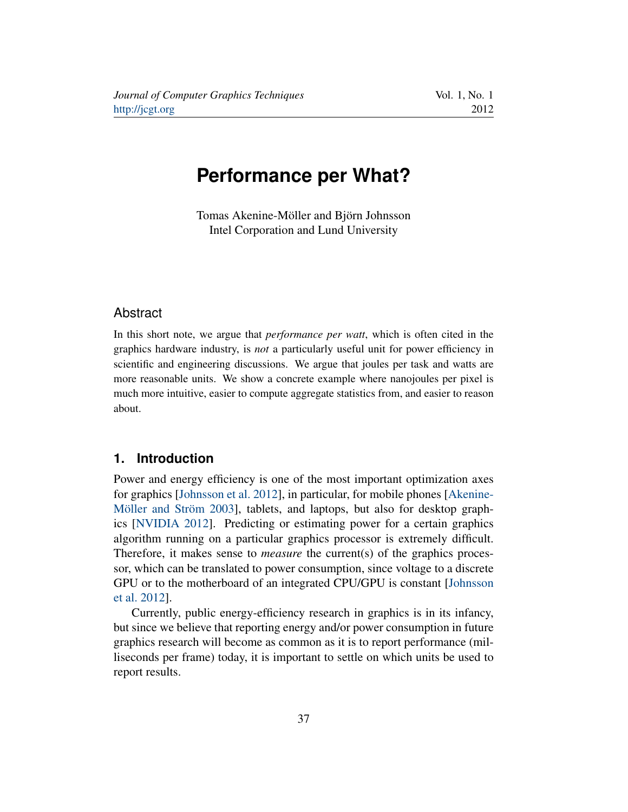# <span id="page-0-0"></span>**Performance per What?**

Tomas Akenine-Möller and Björn Johnsson Intel Corporation and Lund University

#### Abstract

In this short note, we argue that *performance per watt*, which is often cited in the graphics hardware industry, is *not* a particularly useful unit for power efficiency in scientific and engineering discussions. We argue that joules per task and watts are more reasonable units. We show a concrete example where nanojoules per pixel is much more intuitive, easier to compute aggregate statistics from, and easier to reason about.

### **1. Introduction**

Power and energy efficiency is one of the most important optimization axes for graphics [\[Johnsson et al. 2012\]](#page-3-0), in particular, for mobile phones [\[Akenine-](#page-3-1)[Möller and Ström 2003\]](#page-3-1), tablets, and laptops, but also for desktop graphics [\[NVIDIA 2012\]](#page-3-2). Predicting or estimating power for a certain graphics algorithm running on a particular graphics processor is extremely difficult. Therefore, it makes sense to *measure* the current(s) of the graphics processor, which can be translated to power consumption, since voltage to a discrete GPU or to the motherboard of an integrated CPU/GPU is constant [\[Johnsson](#page-3-0) [et al. 2012\]](#page-3-0).

Currently, public energy-efficiency research in graphics is in its infancy, but since we believe that reporting energy and/or power consumption in future graphics research will become as common as it is to report performance (milliseconds per frame) today, it is important to settle on which units be used to report results.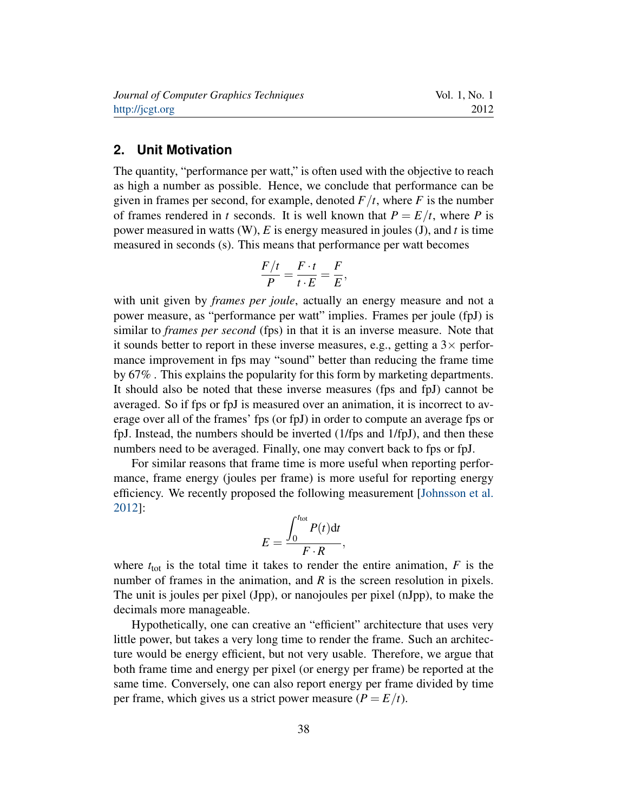#### <span id="page-1-0"></span>**2. Unit Motivation**

The quantity, "performance per watt," is often used with the objective to reach as high a number as possible. Hence, we conclude that performance can be given in frames per second, for example, denoted  $F/t$ , where  $F$  is the number of frames rendered in *t* seconds. It is well known that  $P = E/t$ , where *P* is power measured in watts (W), *E* is energy measured in joules (J), and *t* is time measured in seconds (s). This means that performance per watt becomes

$$
\frac{F/t}{P} = \frac{F \cdot t}{t \cdot E} = \frac{F}{E},
$$

with unit given by *frames per joule*, actually an energy measure and not a power measure, as "performance per watt" implies. Frames per joule (fpJ) is similar to *frames per second* (fps) in that it is an inverse measure. Note that it sounds better to report in these inverse measures, e.g., getting a  $3\times$  performance improvement in fps may "sound" better than reducing the frame time by 67% . This explains the popularity for this form by marketing departments. It should also be noted that these inverse measures (fps and fpJ) cannot be averaged. So if fps or fpJ is measured over an animation, it is incorrect to average over all of the frames' fps (or fpJ) in order to compute an average fps or fpJ. Instead, the numbers should be inverted (1/fps and 1/fpJ), and then these numbers need to be averaged. Finally, one may convert back to fps or fpJ.

For similar reasons that frame time is more useful when reporting performance, frame energy (joules per frame) is more useful for reporting energy efficiency. We recently proposed the following measurement [\[Johnsson et al.](#page-3-0) [2012\]](#page-3-0):

$$
E = \frac{\int_0^{t_{\text{tot}}} P(t) \, \text{d}t}{F \cdot R},
$$

where  $t_{\text{tot}}$  is the total time it takes to render the entire animation,  $F$  is the number of frames in the animation, and *R* is the screen resolution in pixels. The unit is joules per pixel (Jpp), or nanojoules per pixel (nJpp), to make the decimals more manageable.

Hypothetically, one can creative an "efficient" architecture that uses very little power, but takes a very long time to render the frame. Such an architecture would be energy efficient, but not very usable. Therefore, we argue that both frame time and energy per pixel (or energy per frame) be reported at the same time. Conversely, one can also report energy per frame divided by time per frame, which gives us a strict power measure  $(P = E/t)$ .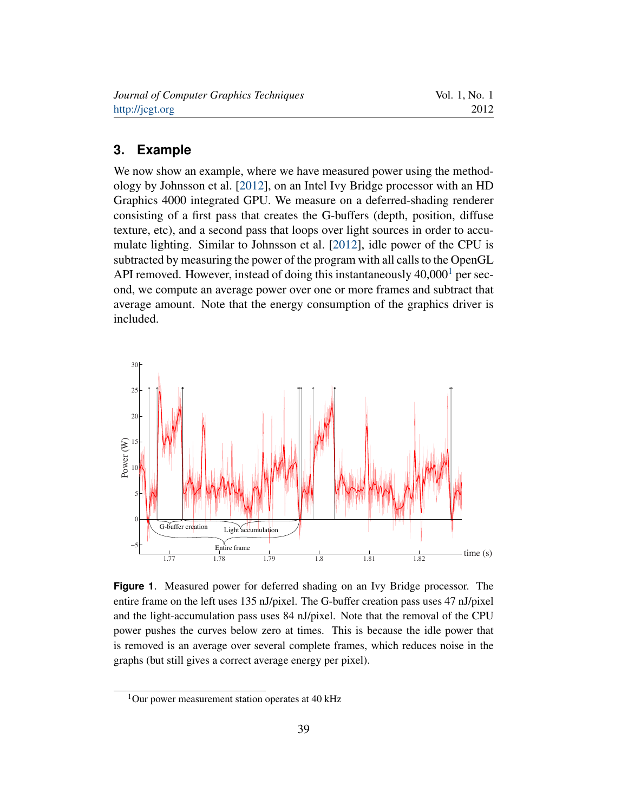<span id="page-2-2"></span>

| Journal of Computer Graphics Techniques | Vol. 1, No. 1 |
|-----------------------------------------|---------------|
| http://jcgt.org                         | 2012          |

#### **3. Example**

We now show an example, where we have measured power using the methodology by Johnsson et al. [\[2012\]](#page-3-0), on an Intel Ivy Bridge processor with an HD Graphics 4000 integrated GPU. We measure on a deferred-shading renderer consisting of a first pass that creates the G-buffers (depth, position, diffuse texture, etc), and a second pass that loops over light sources in order to accumulate lighting. Similar to Johnsson et al. [\[2012\]](#page-3-0), idle power of the CPU is subtracted by measuring the power of the program with all calls to the OpenGL API removed. However, instead of doing this instantaneously  $40,000<sup>1</sup>$  $40,000<sup>1</sup>$  $40,000<sup>1</sup>$  per second, we compute an average power over one or more frames and subtract that average amount. Note that the energy consumption of the graphics driver is included.

<span id="page-2-1"></span>

**Figure 1**. Measured power for deferred shading on an Ivy Bridge processor. The entire frame on the left uses 135 nJ/pixel. The G-buffer creation pass uses 47 nJ/pixel and the light-accumulation pass uses 84 nJ/pixel. Note that the removal of the CPU power pushes the curves below zero at times. This is because the idle power that is removed is an average over several complete frames, which reduces noise in the graphs (but still gives a correct average energy per pixel).

<span id="page-2-0"></span> $1$ Our power measurement station operates at 40 kHz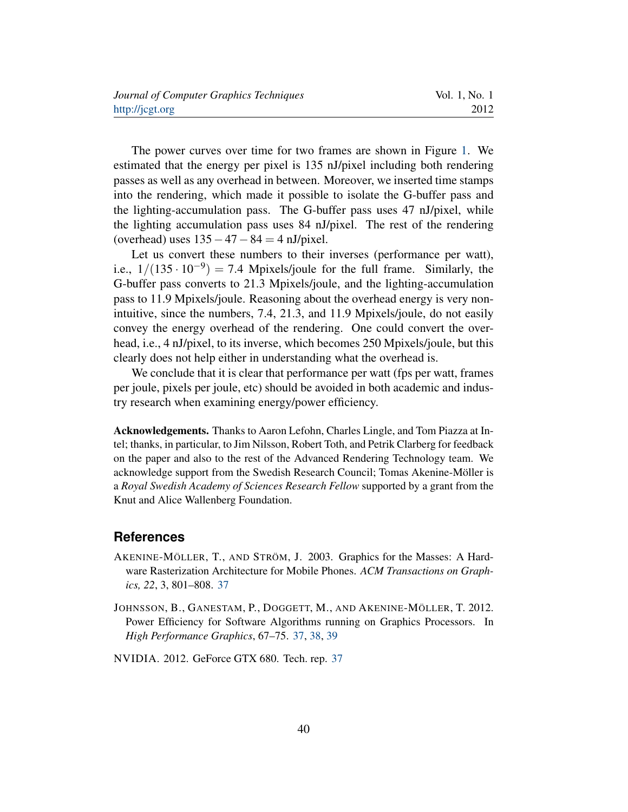| Journal of Computer Graphics Techniques | Vol. 1, No. 1 |
|-----------------------------------------|---------------|
| http://jcgt.org                         | 2012          |

The power curves over time for two frames are shown in Figure [1.](#page-2-1) We estimated that the energy per pixel is 135 nJ/pixel including both rendering passes as well as any overhead in between. Moreover, we inserted time stamps into the rendering, which made it possible to isolate the G-buffer pass and the lighting-accumulation pass. The G-buffer pass uses 47 nJ/pixel, while the lighting accumulation pass uses 84 nJ/pixel. The rest of the rendering (overhead) uses  $135-47-84 = 4$  nJ/pixel.

Let us convert these numbers to their inverses (performance per watt), i.e.,  $1/(135 \cdot 10^{-9}) = 7.4$  Mpixels/joule for the full frame. Similarly, the G-buffer pass converts to 21.3 Mpixels/joule, and the lighting-accumulation pass to 11.9 Mpixels/joule. Reasoning about the overhead energy is very nonintuitive, since the numbers, 7.4, 21.3, and 11.9 Mpixels/joule, do not easily convey the energy overhead of the rendering. One could convert the overhead, i.e., 4 nJ/pixel, to its inverse, which becomes 250 Mpixels/joule, but this clearly does not help either in understanding what the overhead is.

We conclude that it is clear that performance per watt (fps per watt, frames per joule, pixels per joule, etc) should be avoided in both academic and industry research when examining energy/power efficiency.

Acknowledgements. Thanks to Aaron Lefohn, Charles Lingle, and Tom Piazza at Intel; thanks, in particular, to Jim Nilsson, Robert Toth, and Petrik Clarberg for feedback on the paper and also to the rest of the Advanced Rendering Technology team. We acknowledge support from the Swedish Research Council; Tomas Akenine-Möller is a *Royal Swedish Academy of Sciences Research Fellow* supported by a grant from the Knut and Alice Wallenberg Foundation.

#### **References**

- <span id="page-3-1"></span>AKENINE-MÖLLER, T., AND STRÖM, J. 2003. Graphics for the Masses: A Hardware Rasterization Architecture for Mobile Phones. *ACM Transactions on Graphics, 22*, 3, 801–808. [37](#page-0-0)
- <span id="page-3-0"></span>JOHNSSON, B., GANESTAM, P., DOGGETT, M., AND AKENINE-MÖLLER, T. 2012. Power Efficiency for Software Algorithms running on Graphics Processors. In *High Performance Graphics*, 67–75. [37,](#page-0-0) [38,](#page-1-0) [39](#page-2-2)
- <span id="page-3-2"></span>NVIDIA. 2012. GeForce GTX 680. Tech. rep. [37](#page-0-0)